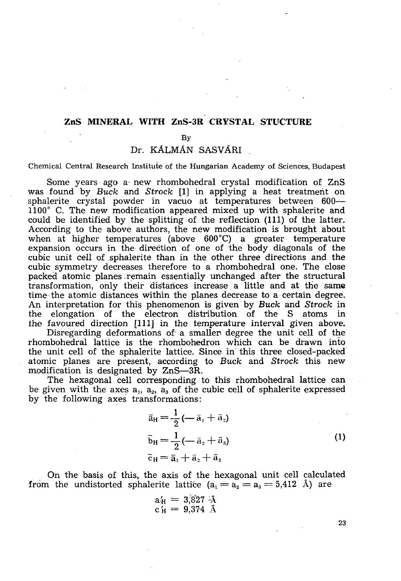## **ZnS MINERAL WITH ZnS-3R CRYSTAL STUCTURE**

### By

# Dr. KÁLMÁN SASVÁRI

#### Chemical Central Research Institute of the Hungarian Academy of Sciences, Budapest

Some years ago a new rhombohedral crystal modification of ZnS was found by *Buck* and *Strock* [1] in applying a heat treatment on sphalerite crystal powder in vacuo at temperatures between 600— 1100° C. The new modification appeared mixed up with sphalerite and could be identified by the splitting of the reflection (111) of the latter. According to the above authors, the new modification is brought about when at higher temperatures (above 600°C) a greater temperature expansion occurs in the direction of one of the body diagonals of the cubic unit cell of sphalerite than in the other three directions and the cubic symmetry decreases therefore to a rhombohedral one. The close packed atomic planes-remain essentially unchanged after the structural transformation, only their distances increase a little and at the same time the atomic distances within the planes decrease to a certain degree. An interpretation for this phenomenon is given by *Buck* and *Strock* in the elongation of the electron distribution of the S atoms in the favoured direction [111] in the temperature interval given above.

Disregarding deformations of a smaller degree the unit cell of the rhombohedral lattice is the rhombohedron which can be drawn into the unit cell of the sphalerite lattice. Since in this three closed-packed atomic planes are present, according to *Buck* and *Strock* this new modification is designated by ZnS—3R.

The hexagonal cell corresponding to this rhombohedral lattice can be given with the axes  $a_1$ ,  $a_2$ ,  $a_3$  of the cubic cell of sphalerite expressed by the following axes transformations:

$$
\bar{a}_{H} = \frac{1}{2} \left( -\bar{a}_{1} + \bar{a}_{2} \right)
$$
\n
$$
\bar{b}_{H} = \frac{1}{2} \left( -\bar{a}_{2} + \bar{a}_{3} \right)
$$
\n
$$
\bar{c}_{H} = \bar{a}_{1} + \bar{a}_{2} + \bar{a}_{3}
$$
\n(1)

On the basis of this, the axis of the hexagonal unit cell calculated from the undistorted sphalerite lattice  $(a_1 = a_2 = a_3 = 5,412$  Å) are

$$
a'_H = 3.827 \text{ Å}
$$
  

$$
c'_H = 9.374 \text{ Å}
$$

**23**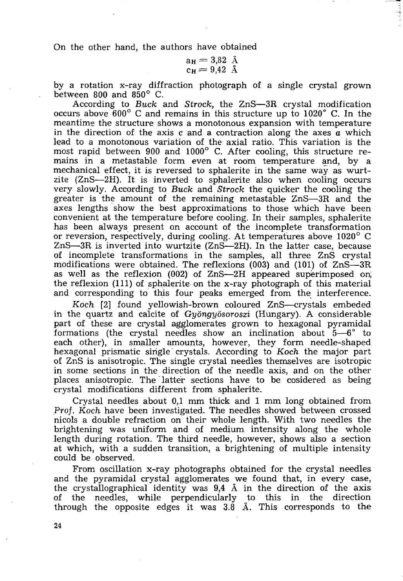On the other hand, the authors have obtained

$$
\begin{array}{c}\n\mathsf{a}_{\mathrm{H}} = 3.82 \quad \text{\AA} \\
\mathsf{c}_{\mathrm{H}} = 9.42 \quad \text{\AA}\n\end{array}
$$

by a rotation x-ray diffraction photograph of a single crystal grown between 800 and  $850^{\circ}$  C.

According to *Buck* and *Strock,* the ZnS—3R crystal modification occurs above 600° C and remains in this structure up to 1020° C. In the meantime the structure shows a monotonous expansion with temperature in the direction of the axis c and a contraction along the axes *a* which lead to a monotonous variation of the axial ratio. This variation is the most rapid between 900 and 1000° C. After cooling, this structure remains in a metastable form even at room temperature and, by a mechanical effect, it is reversed to sphalerite in the same way as wurtzite (ZnS—2H). It is inverted to sphalerite also when cooling occurs very slowly. According to *Buck* and *Strock* the quicker the cooling the greater is the amount of the remaining metastable ZnS—3R and the axes lengths show the best approximations to those which have been convenient at the temperature before cooling. In their samples, sphalerite has been always present on account of the incomplete transformation or reversion, respectively, during cooling. At temperatures above 1020° C ZnS—3R is inverted into wurtzite (ZnS—2H). In the latter case, because of incomplete transformations in the samples, all three ZnS crystal modifications were obtained. The reflexions (003) and (101) of ZnS—3R as well as the reflexion (002) of ZnS—2H appeared superimposed on, the reflexion (111) of sphalerite on the x-ray photograph of this material and corresponding to this four peaks emerged from the interference.

*Koch* [2] found yellowish-brown coloured ZnS—crystals embeded in the quartz and calcite of *Gyongyosoroszi* (Hungary). A considerable part of these are crystal agglomerates grown to hexagonal pyramidal formations (the crystal needles show an inclination about  $5-6^{\circ}$  to each other), in smaller amounts, however, they form needle-shaped hexagonal prismatic single crystals. According to *Koch* the major part of ZnS is anisotropic. The single crystal needles themselves are isotropic in some sections in the direction of the needle axis, and on the other places anisotropic. The latter sections have to be cosidered as being crystal modifications different from sphalerite.

Crystal needles about 0,1 mm thick and 1 mm long obtained from *Prof. Koch* have been investigated. The needles showed between crossed nicols a double refraction on their whole length. With two needles the brightening was uniform and of medium intensity along the whole length during rotation. The third needle, however, shows also a section at which, with a sudden transition, a brightening of multiple intensity could be observed.

From oscillation x-ray photographs obtained for the crystal needles and the pyramidal crystal agglomerates we found that, in every case, the crystallographical identity was  $9.4\,$  Å in the direction of the axis of the needles, while perpendicularly to this in the direction through the opposite edges it was  $3.\dot{8}$  Å. This corresponds to the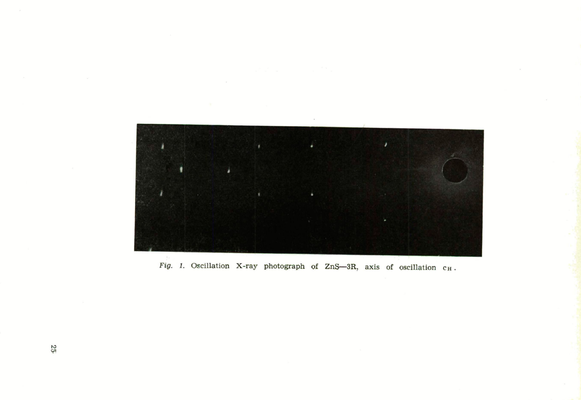

Fig. 1. Oscillation X-ray photograph of ZnS-3R, axis of oscillation  $c_H$ .

 $25$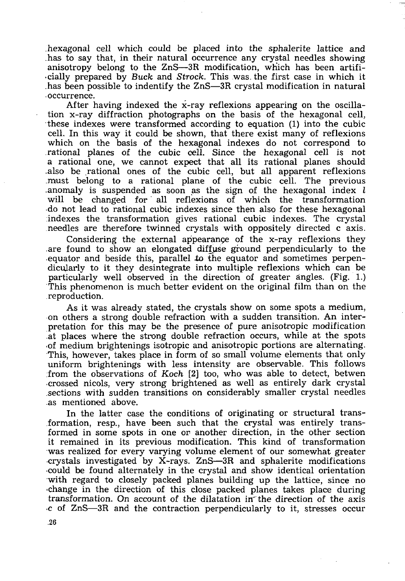hexagonal cell which could be placed into the sphalerite lattice and has to say that, in their natural occurrence any crystal needles showing anisotropy belong to the ZnS—3R modification, which has been artificially prepared by *Buck* and *Strock.* This was. the first case in which it has been possible to indentify the ZnS—3R crystal modification in natural occurrence.

After having indexed the x-ray reflexions appearing on the oscillation x-ray diffraction photographs on the basis of the hexagonal cell, these indexes were transformed according to equation (1) into the cubic cell. In this way it could be shown, that there exist many of reflexions which on the basis of the hexagonal indexes do not correspond to rational planes of the cubic cell. Since the hexagonal cell is not a rational one, we cannot expect that all its rational planes should -also be rational ones of the cubic cell, but all apparent reflexions .must belong to a rational plane of the cubic cell. The previous .anomaly is suspended as soon as the sign of the hexagonal index  $l$ will be changed for all reflexions of which the transformation •do not lead to rational cubic indexes since then also for these hexagonal indexes the transformation gives rational cubic indexes. The crystal needles are therefore twinned crystals with oppositely directed c axis.

Considering the external appearance of the x-ray reflexions they are found to show an elongated diffuse ground perpendicularly to the equator and beside this, parallel *to* the equator and sometimes perpendicularly to it they desintegrate into multiple reflexions which can be particularly well observed in the direction of greater angles. (Fig. 1.) This phenomenon is much better evident on the original film than on the reproduction.

As it was already stated, the crystals show on some spots a medium, on others a strong double refraction with a sudden transition. An interpretation for this may be the presence of pure anisotropic modification .at places where the strong double refraction occurs, while at the spots •of medium brightenings isotropic and anisotropic portions are alternating. This, however, takes place in form of so small volume elements that only uniform brightenings with less intensity are observable. This follows :from the observations of *Koch* [2] too, who was able to detect, betwen •crossed nicols, very strong brightened as well as entirely dark crystal sections with sudden transitions on considerably smaller crystal needles as mentioned above.

In the latter case the conditions of originating or structural transformation, resp., have been such that the crystal was entirely transformed in some spots in one or another direction, in the other section it remained in its previous modification. This kind of transformation was realized for every varying volume element of our somewhat greater •crystals investigated by X-rays. ZnS—3R and sphalerite modifications •could be found alternately in the crystal and show identical orientation with regard to closely packed planes building up the lattice, since no •change in the direction of this close packed planes takes place during transformation. On account of the dilatation in the direction of the axis •c of ZnS—3R and the contraction perpendicularly to it, stresses occur